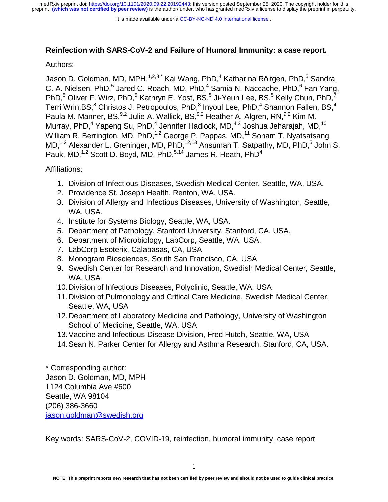It is made available under a CC-BY-NC-ND 4.0 International license.

## **Reinfection with SARS-CoV-2 and Failure of Humoral Immunity: a case report.**

## Authors:

 $\frac{1}{2}$ Jason D. Goldman, MD, MPH,<sup>1,2,3,\*</sup> Kai Wang, PhD,<sup>4</sup> Katharina Röltgen, PhD,<sup>5</sup> Sandra C. A. Nielsen, PhD,<sup>5</sup> Jared C. Roach, MD, PhD,<sup>4</sup> Samia N. Naccache, PhD,<sup>6</sup> Fan Yang, PhD,<sup>5</sup> Oliver F. Wirz, PhD,<sup>5</sup> Kathryn E. Yost, BS,<sup>5</sup> Ji-Yeun Lee, BS,<sup>5</sup> Kelly Chun, PhD,<sup>7</sup> Terri Wrin,BS, $^8$  Christos J. Petropoulos, PhD, $^8$  Inyoul Lee, PhD, $^4$  Shannon Fallen, BS, $^4$ Paula M. Manner, BS,  $9,2$  Julie A. Wallick, BS,  $9,2$  Heather A. Algren, RN,  $9,2$  Kim M. Murray, PhD,<sup>4</sup> Yapeng Su, PhD,<sup>4</sup> Jennifer Hadlock, MD,<sup>4,2</sup> Joshua Jeharajah, MD,<sup>10</sup> William R. Berrington, MD, PhD,<sup>1,2</sup> George P. Pappas, MD,<sup>11</sup> Sonam T. Nyatsatsang, MD,<sup>1,2</sup> Alexander L. Greninger, MD, PhD,<sup>12,13</sup> Ansuman T. Satpathy, MD, PhD,<sup>5</sup> John S. Pauk, MD,<sup>1,2</sup> Scott D. Boyd, MD, PhD,<sup>5,14</sup> James R. Heath, PhD<sup>4</sup>

Affiliations:

- 1. Division of Infectious Diseases, Swedish Medical Center, Seattle, WA, USA.
- 2. Providence St. Joseph Health, Renton, WA, USA.
- 3. Division of Allergy and Infectious Diseases, University of Washington, Seattle, WA, USA.
- 4. Institute for Systems Biology, Seattle, WA, USA.
- 5. Department of Pathology, Stanford University, Stanford, CA, USA.
- 6. Department of Microbiology, LabCorp, Seattle, WA, USA.
- 7. LabCorp Esoterix, Calabasas, CA, USA
- 8. Monogram Biosciences, South San Francisco, CA, USA
- 9. Swedish Center for Research and Innovation, Swedish Medical Center, Seattle, WA, USA
- 10. Division of Infectious Diseases, Polyclinic, Seattle, WA, USA
- 11. Division of Pulmonology and Critical Care Medicine, Swedish Medical Center, Seattle, WA, USA
- 12. Department of Laboratory Medicine and Pathology, University of Washington School of Medicine, Seattle, WA, USA
- 13. Vaccine and Infectious Disease Division, Fred Hutch, Seattle, WA, USA
- 14. Sean N. Parker Center for Allergy and Asthma Research, Stanford, CA, USA.

\* Corresponding author: Jason D. Goldman, MD, MPH 1124 Columbia Ave #600 Seattle, WA 98104 (206) 386-3660 jason.goldman@swedish.org

Key words: SARS-CoV-2, COVID-19, reinfection, humoral immunity, case report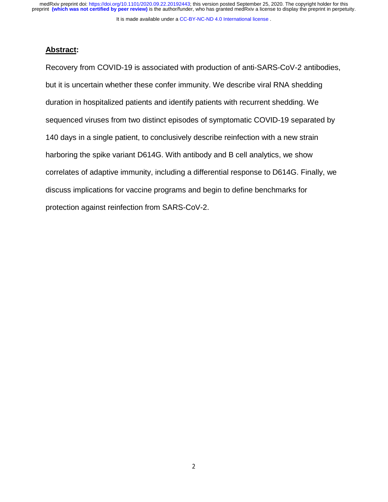It is made available under a CC-BY-NC-ND 4.0 International license.

## **Abstract:**

 $\frac{1}{3}$ Recovery from COVID-19 is associated with production of anti-SARS-CoV-2 antibodies, but it is uncertain whether these confer immunity. We describe viral RNA shedding duration in hospitalized patients and identify patients with recurrent shedding. We sequenced viruses from two distinct episodes of symptomatic COVID-19 separated by 140 days in a single patient, to conclusively describe reinfection with a new strain harboring the spike variant D614G. With antibody and B cell analytics, we show correlates of adaptive immunity, including a differential response to D614G. Finally, we discuss implications for vaccine programs and begin to define benchmarks for protection against reinfection from SARS-CoV-2.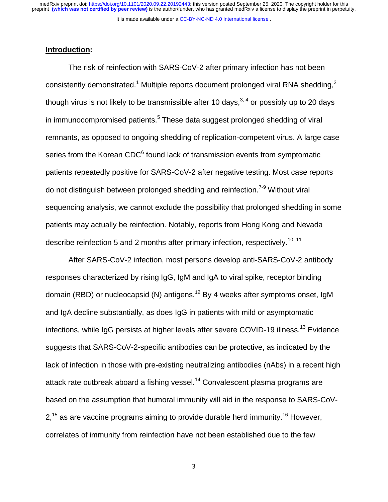It is made available under a CC-BY-NC-ND 4.0 International license.

### **Introduction:**

 $\overline{1}$ The risk of reinfection with SARS-CoV-2 after primary infection has not been consistently demonstrated.<sup>1</sup> Multiple reports document prolonged viral RNA shedding,<sup>2</sup> though virus is not likely to be transmissible after 10 days,  $3, 4$  or possibly up to 20 days in immunocompromised patients.<sup>5</sup> These data suggest prolonged shedding of viral remnants, as opposed to ongoing shedding of replication-competent virus. A large case series from the Korean CDC $^6$  found lack of transmission events from symptomatic patients repeatedly positive for SARS-CoV-2 after negative testing. Most case reports do not distinguish between prolonged shedding and reinfection.<sup>7-9</sup> Without viral sequencing analysis, we cannot exclude the possibility that prolonged shedding in some patients may actually be reinfection. Notably, reports from Hong Kong and Nevada describe reinfection 5 and 2 months after primary infection, respectively.<sup>10, 11</sup>

After SARS-CoV-2 infection, most persons develop anti-SARS-CoV-2 antibody responses characterized by rising IgG, IgM and IgA to viral spike, receptor binding domain (RBD) or nucleocapsid (N) antigens.<sup>12</sup> By 4 weeks after symptoms onset, IgM and IgA decline substantially, as does IgG in patients with mild or asymptomatic infections, while IgG persists at higher levels after severe COVID-19 illness.<sup>13</sup> Evidence suggests that SARS-CoV-2-specific antibodies can be protective, as indicated by the lack of infection in those with pre-existing neutralizing antibodies (nAbs) in a recent high attack rate outbreak aboard a fishing vessel.<sup>14</sup> Convalescent plasma programs are based on the assumption that humoral immunity will aid in the response to SARS-CoV- $2<sup>15</sup>$  as are vaccine programs aiming to provide durable herd immunity.<sup>16</sup> However, correlates of immunity from reinfection have not been established due to the few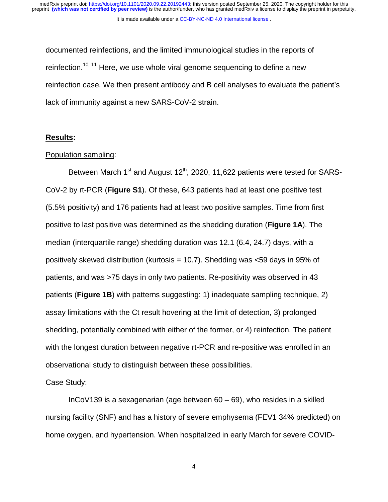It is made available under a [CC-BY-NC-ND 4.0 International license](http://creativecommons.org/licenses/by-nc-nd/4.0/) .

י<br>|<br>| documented reinfections, and the limited immunological studies in the reports of reinfection.<sup>10, 11</sup> Here, we use whole viral genome sequencing to define a new reinfection case. We then present antibody and B cell analyses to evaluate the patient's lack of immunity against a new SARS-CoV-2 strain.

### **Results:**

### Population sampling:

Between March  $1<sup>st</sup>$  and August  $12<sup>th</sup>$ , 2020, 11,622 patients were tested for SARS-CoV-2 by rt-PCR (**Figure S1**). Of these, 643 patients had at least one positive test (5.5% positivity) and 176 patients had at least two positive samples. Time from first positive to last positive was determined as the shedding duration (**Figure 1A**). The median (interquartile range) shedding duration was 12.1 (6.4, 24.7) days, with a positively skewed distribution (kurtosis = 10.7). Shedding was <59 days in 95% of patients, and was >75 days in only two patients. Re-positivity was observed in 43 patients (**Figure 1B**) with patterns suggesting: 1) inadequate sampling technique, 2) assay limitations with the Ct result hovering at the limit of detection, 3) prolonged shedding, potentially combined with either of the former, or 4) reinfection. The patient with the longest duration between negative rt-PCR and re-positive was enrolled in an observational study to distinguish between these possibilities.

#### Case Study:

InCoV139 is a sexagenarian (age between 60 – 69), who resides in a skilled nursing facility (SNF) and has a history of severe emphysema (FEV1 34% predicted) on home oxygen, and hypertension. When hospitalized in early March for severe COVID-

 $\overline{4}$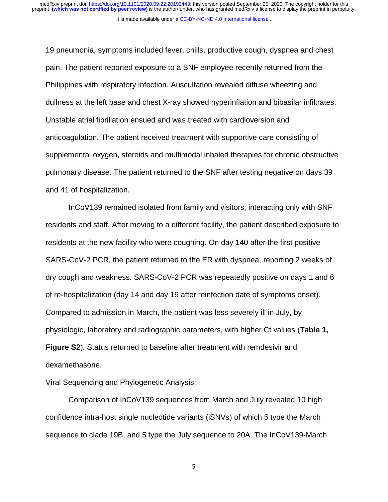It is made available under a [CC-BY-NC-ND 4.0 International license](http://creativecommons.org/licenses/by-nc-nd/4.0/) .

.<br>|<br>| 19 pneumonia, symptoms included fever, chills, productive cough, dyspnea and chest pain. The patient reported exposure to a SNF employee recently returned from the Philippines with respiratory infection. Auscultation revealed diffuse wheezing and dullness at the left base and chest X-ray showed hyperinflation and bibasilar infiltrates. Unstable atrial fibrillation ensued and was treated with cardioversion and anticoagulation. The patient received treatment with supportive care consisting of supplemental oxygen, steroids and multimodal inhaled therapies for chronic obstructive pulmonary disease. The patient returned to the SNF after testing negative on days 39 and 41 of hospitalization.

InCoV139 remained isolated from family and visitors, interacting only with SNF residents and staff. After moving to a different facility, the patient described exposure to residents at the new facility who were coughing. On day 140 after the first positive SARS-CoV-2 PCR, the patient returned to the ER with dyspnea, reporting 2 weeks of dry cough and weakness. SARS-CoV-2 PCR was repeatedly positive on days 1 and 6 of re-hospitalization (day 14 and day 19 after reinfection date of symptoms onset). Compared to admission in March, the patient was less severely ill in July, by physiologic, laboratory and radiographic parameters, with higher Ct values (**Table 1, Figure S2**). Status returned to baseline after treatment with remdesivir and dexamethasone.

### Viral Sequencing and Phylogenetic Analysis:

Comparison of InCoV139 sequences from March and July revealed 10 high confidence intra-host single nucleotide variants (iSNVs) of which 5 type the March sequence to clade 19B, and 5 type the July sequence to 20A. The InCoV139-March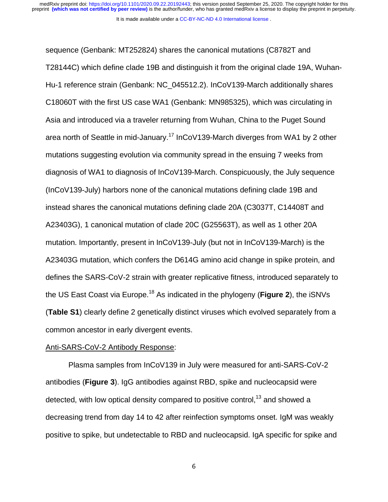It is made available under a [CC-BY-NC-ND 4.0 International license](http://creativecommons.org/licenses/by-nc-nd/4.0/) .

:<br>|<br>| sequence (Genbank: MT252824) shares the canonical mutations (C8782T and T28144C) which define clade 19B and distinguish it from the original clade 19A, Wuhan-Hu-1 reference strain (Genbank: NC\_045512.2). InCoV139-March additionally shares C18060T with the first US case WA1 (Genbank: MN985325), which was circulating in Asia and introduced via a traveler returning from Wuhan, China to the Puget Sound area north of Seattle in mid-January.<sup>17</sup> InCoV139-March diverges from WA1 by 2 other mutations suggesting evolution via community spread in the ensuing 7 weeks from diagnosis of WA1 to diagnosis of InCoV139-March. Conspicuously, the July sequence (InCoV139-July) harbors none of the canonical mutations defining clade 19B and instead shares the canonical mutations defining clade 20A (C3037T, C14408T and A23403G), 1 canonical mutation of clade 20C (G25563T), as well as 1 other 20A mutation. Importantly, present in InCoV139-July (but not in InCoV139-March) is the A23403G mutation, which confers the D614G amino acid change in spike protein, and defines the SARS-CoV-2 strain with greater replicative fitness, introduced separately to the US East Coast via Europe.18 As indicated in the phylogeny (**Figure 2**), the iSNVs (**Table S1**) clearly define 2 genetically distinct viruses which evolved separately from a common ancestor in early divergent events.

#### Anti-SARS-CoV-2 Antibody Response:

Plasma samples from InCoV139 in July were measured for anti-SARS-CoV-2 antibodies (**Figure 3**). IgG antibodies against RBD, spike and nucleocapsid were detected, with low optical density compared to positive control,<sup>13</sup> and showed a decreasing trend from day 14 to 42 after reinfection symptoms onset. IgM was weakly positive to spike, but undetectable to RBD and nucleocapsid. IgA specific for spike and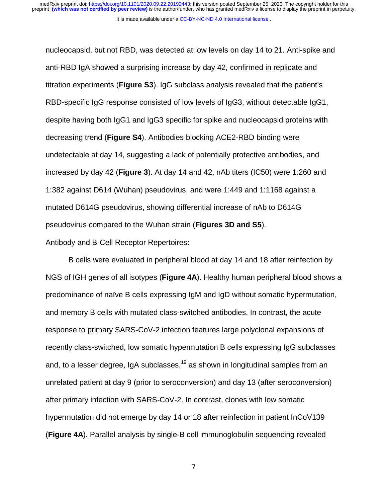।<br>ਹ nucleocapsid, but not RBD, was detected at low levels on day 14 to 21. Anti-spike and anti-RBD IgA showed a surprising increase by day 42, confirmed in replicate and titration experiments (**Figure S3**). IgG subclass analysis revealed that the patient's RBD-specific IgG response consisted of low levels of IgG3, without detectable IgG1, despite having both IgG1 and IgG3 specific for spike and nucleocapsid proteins with decreasing trend (**Figure S4**). Antibodies blocking ACE2-RBD binding were undetectable at day 14, suggesting a lack of potentially protective antibodies, and increased by day 42 (**Figure 3**). At day 14 and 42, nAb titers (IC50) were 1:260 and 1:382 against D614 (Wuhan) pseudovirus, and were 1:449 and 1:1168 against a mutated D614G pseudovirus, showing differential increase of nAb to D614G pseudovirus compared to the Wuhan strain (**Figures 3D and S5**).

#### Antibody and B-Cell Receptor Repertoires:

B cells were evaluated in peripheral blood at day 14 and 18 after reinfection by NGS of IGH genes of all isotypes (**Figure 4A**). Healthy human peripheral blood shows a predominance of naïve B cells expressing IgM and IgD without somatic hypermutation, and memory B cells with mutated class-switched antibodies. In contrast, the acute response to primary SARS-CoV-2 infection features large polyclonal expansions of recently class-switched, low somatic hypermutation B cells expressing IgG subclasses and, to a lesser degree, IgA subclasses, $19$  as shown in longitudinal samples from an unrelated patient at day 9 (prior to seroconversion) and day 13 (after seroconversion) after primary infection with SARS-CoV-2. In contrast, clones with low somatic hypermutation did not emerge by day 14 or 18 after reinfection in patient InCoV139 (**Figure 4A**). Parallel analysis by single-B cell immunoglobulin sequencing revealed

 $\overline{7}$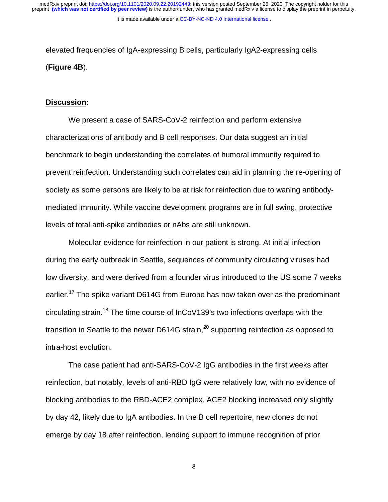It is made available under a CC-BY-NC-ND 4.0 International license.

 $\frac{1}{2}$ elevated frequencies of IgA-expressing B cells, particularly IgA2-expressing cells (**Figure 4B**).

### **Discussion:**

We present a case of SARS-CoV-2 reinfection and perform extensive characterizations of antibody and B cell responses. Our data suggest an initial benchmark to begin understanding the correlates of humoral immunity required to prevent reinfection. Understanding such correlates can aid in planning the re-opening of society as some persons are likely to be at risk for reinfection due to waning antibodymediated immunity. While vaccine development programs are in full swing, protective levels of total anti-spike antibodies or nAbs are still unknown.

Molecular evidence for reinfection in our patient is strong. At initial infection during the early outbreak in Seattle, sequences of community circulating viruses had low diversity, and were derived from a founder virus introduced to the US some 7 weeks earlier.<sup>17</sup> The spike variant D614G from Europe has now taken over as the predominant circulating strain.<sup>18</sup> The time course of  $InCoV139$ 's two infections overlaps with the transition in Seattle to the newer D614G strain,  $20$  supporting reinfection as opposed to intra-host evolution.

The case patient had anti-SARS-CoV-2 IgG antibodies in the first weeks after reinfection, but notably, levels of anti-RBD IgG were relatively low, with no evidence of blocking antibodies to the RBD-ACE2 complex. ACE2 blocking increased only slightly by day 42, likely due to IgA antibodies. In the B cell repertoire, new clones do not emerge by day 18 after reinfection, lending support to immune recognition of prior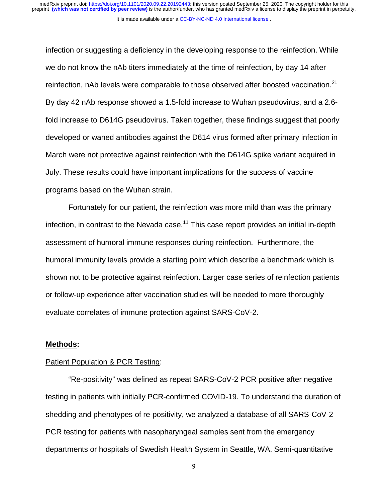$\frac{1}{1}$ infection or suggesting a deficiency in the developing response to the reinfection. While we do not know the nAb titers immediately at the time of reinfection, by day 14 after reinfection, nAb levels were comparable to those observed after boosted vaccination.<sup>21</sup> By day 42 nAb response showed a 1.5-fold increase to Wuhan pseudovirus, and a 2.6 fold increase to D614G pseudovirus. Taken together, these findings suggest that poorly developed or waned antibodies against the D614 virus formed after primary infection in March were not protective against reinfection with the D614G spike variant acquired in July. These results could have important implications for the success of vaccine programs based on the Wuhan strain.

Fortunately for our patient, the reinfection was more mild than was the primary infection, in contrast to the Nevada case.<sup>11</sup> This case report provides an initial in-depth assessment of humoral immune responses during reinfection. Furthermore, the humoral immunity levels provide a starting point which describe a benchmark which is shown not to be protective against reinfection. Larger case series of reinfection patients or follow-up experience after vaccination studies will be needed to more thoroughly evaluate correlates of immune protection against SARS-CoV-2.

#### **Methods:**

#### Patient Population & PCR Testing:

"Re-positivity" was defined as repeat SARS-CoV-2 PCR positive after negative testing in patients with initially PCR-confirmed COVID-19. To understand the duration of shedding and phenotypes of re-positivity, we analyzed a database of all SARS-CoV-2 PCR testing for patients with nasopharyngeal samples sent from the emergency departments or hospitals of Swedish Health System in Seattle, WA. Semi-quantitative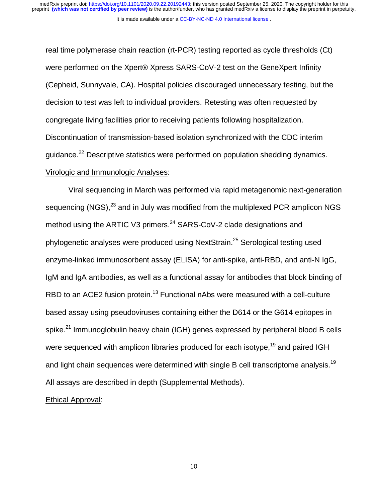It is made available under a [CC-BY-NC-ND 4.0 International license](http://creativecommons.org/licenses/by-nc-nd/4.0/) .

 $\frac{1}{\sqrt{2}}$ real time polymerase chain reaction (rt-PCR) testing reported as cycle thresholds (Ct) were performed on the Xpert® Xpress SARS-CoV-2 test on the GeneXpert Infinity (Cepheid, Sunnyvale, CA). Hospital policies discouraged unnecessary testing, but the decision to test was left to individual providers. Retesting was often requested by congregate living facilities prior to receiving patients following hospitalization. Discontinuation of transmission-based isolation synchronized with the CDC interim guidance.22 Descriptive statistics were performed on population shedding dynamics. Virologic and Immunologic Analyses:

Viral sequencing in March was performed via rapid metagenomic next-generation sequencing (NGS), $^{23}$  and in July was modified from the multiplexed PCR amplicon NGS method using the ARTIC V3 primers.<sup>24</sup> SARS-CoV-2 clade designations and phylogenetic analyses were produced using NextStrain.<sup>25</sup> Serological testing used enzyme-linked immunosorbent assay (ELISA) for anti-spike, anti-RBD, and anti-N IgG, IgM and IgA antibodies, as well as a functional assay for antibodies that block binding of RBD to an ACE2 fusion protein.<sup>13</sup> Functional nAbs were measured with a cell-culture based assay using pseudoviruses containing either the D614 or the G614 epitopes in spike.<sup>21</sup> Immunoglobulin heavy chain (IGH) genes expressed by peripheral blood B cells were sequenced with amplicon libraries produced for each isotype,<sup>19</sup> and paired IGH and light chain sequences were determined with single B cell transcriptome analysis.<sup>19</sup> All assays are described in depth (Supplemental Methods).

### Ethical Approval: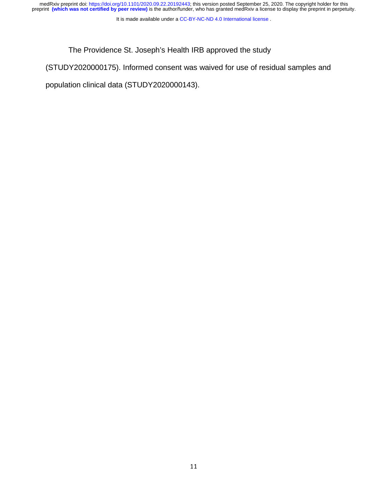It is made available under a [CC-BY-NC-ND 4.0 International license](http://creativecommons.org/licenses/by-nc-nd/4.0/) .

The Providence St. Joseph's Health IRB approved the study

(STUDY2020000175). Informed consent was waived for use of residual samples and

|<br>|<br>|} population clinical data (STUDY2020000143).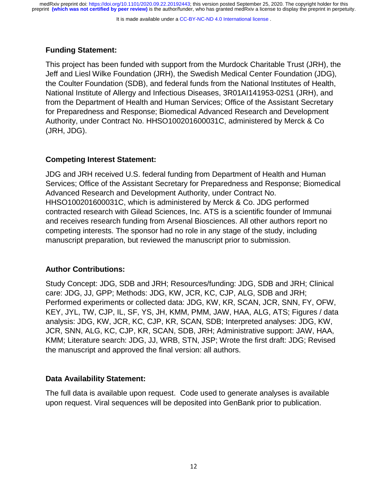It is made available under a CC-BY-NC-ND 4.0 International license.

# **Funding Statement:**

 $\begin{array}{c} \mathsf{I} \end{array}$ This project has been funded with support from the Murdock Charitable Trust (JRH), the Jeff and Liesl Wilke Foundation (JRH), the Swedish Medical Center Foundation (JDG), the Coulter Foundation (SDB), and federal funds from the National Institutes of Health, National Institute of Allergy and Infectious Diseases, 3R01AI141953-02S1 (JRH), and from the Department of Health and Human Services; Office of the Assistant Secretary for Preparedness and Response; Biomedical Advanced Research and Development Authority, under Contract No. HHSO100201600031C, administered by Merck & Co (JRH, JDG).

# **Competing Interest Statement:**

JDG and JRH received U.S. federal funding from Department of Health and Human Services; Office of the Assistant Secretary for Preparedness and Response; Biomedical Advanced Research and Development Authority, under Contract No. HHSO100201600031C, which is administered by Merck & Co. JDG performed contracted research with Gilead Sciences, Inc. ATS is a scientific founder of Immunai and receives research funding from Arsenal Biosciences. All other authors report no competing interests. The sponsor had no role in any stage of the study, including manuscript preparation, but reviewed the manuscript prior to submission.

# **Author Contributions:**

Study Concept: JDG, SDB and JRH; Resources/funding: JDG, SDB and JRH; Clinical care: JDG, JJ, GPP; Methods: JDG, KW, JCR, KC, CJP, ALG, SDB and JRH; Performed experiments or collected data: JDG, KW, KR, SCAN, JCR, SNN, FY, OFW, KEY, JYL, TW, CJP, IL, SF, YS, JH, KMM, PMM, JAW, HAA, ALG, ATS; Figures / data analysis: JDG, KW, JCR, KC, CJP, KR, SCAN, SDB; Interpreted analyses: JDG, KW, JCR, SNN, ALG, KC, CJP, KR, SCAN, SDB, JRH; Administrative support: JAW, HAA, KMM; Literature search: JDG, JJ, WRB, STN, JSP; Wrote the first draft: JDG; Revised the manuscript and approved the final version: all authors.

# **Data Availability Statement:**

The full data is available upon request. Code used to generate analyses is available upon request. Viral sequences will be deposited into GenBank prior to publication.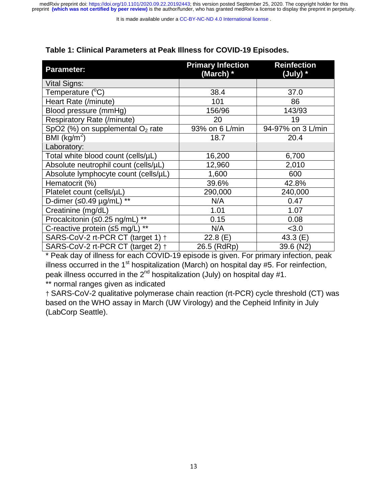It is made available under a CC-BY-NC-ND 4.0 International license.

# **Table 1: Clinical Parameters at Peak Illness for COVID-19 Episodes.**

| Table 1: Clinical Parameters at Peak Illness for COVID-19 Episodes. |                                       |                                |
|---------------------------------------------------------------------|---------------------------------------|--------------------------------|
| <b>Parameter:</b>                                                   | <b>Primary Infection</b><br>(March) * | <b>Reinfection</b><br>(July) * |
| Vital Signs:                                                        |                                       |                                |
| Temperature (°C)                                                    | 38.4                                  | 37.0                           |
| Heart Rate (/minute)                                                | 101                                   | 86                             |
| Blood pressure (mmHg)                                               | 156/96                                | 143/93                         |
| <b>Respiratory Rate (/minute)</b>                                   | 20                                    | 19                             |
| SpO2 $(\%)$ on supplemental O <sub>2</sub> rate                     | 93% on 6 L/min                        | 94-97% on 3 L/min              |
| BMI ( $kg/m2$ )                                                     | 18.7                                  | 20.4                           |
| Laboratory:                                                         |                                       |                                |
| Total white blood count (cells/µL)                                  | 16,200                                | 6,700                          |
| Absolute neutrophil count (cells/µL)                                | 12,960                                | 2,010                          |
| Absolute lymphocyte count (cells/µL)                                | 1,600                                 | 600                            |
| Hematocrit (%)                                                      | 39.6%                                 | 42.8%                          |
| Platelet count (cells/µL)                                           | 290,000                               | 240,000                        |
| $***$<br>D-dimer $(50.49 \mu g/mL)$                                 | N/A                                   | 0.47                           |
| Creatinine (mg/dL)                                                  | 1.01                                  | 1.07                           |
| $***$<br>Procalcitonin (≤0.25 ng/mL)                                | 0.15                                  | 0.08                           |
| $***$<br>C-reactive protein $(5 \text{ mg/L})$                      | N/A                                   | < 3.0                          |
| SARS-CoV-2 rt-PCR CT (target 1) +                                   | 22.8(E)                               | 43.3 $(E)$                     |
| SARS-CoV-2 rt-PCR CT (target 2) +                                   | 26.5 (RdRp)                           | 39.6 (N2)                      |

\* Peak day of illness for each COVID-19 episode is given. For primary infection, peak illness occurred in the  $1<sup>st</sup>$  hospitalization (March) on hospital day #5. For reinfection, peak illness occurred in the  $2<sup>nd</sup>$  hospitalization (July) on hospital day #1.

\*\* normal ranges given as indicated

† SARS-CoV-2 qualitative polymerase chain reaction (rt-PCR) cycle threshold (CT) was based on the WHO assay in March (UW Virology) and the Cepheid Infinity in July (LabCorp Seattle).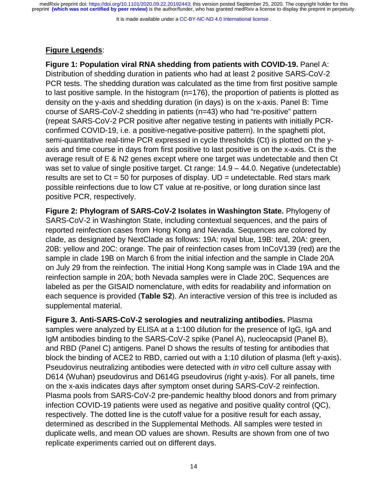It is made available under a CC-BY-NC-ND 4.0 International license.

## **Figure Legends**:

 $\frac{1}{1}$ **Figure 1: Population viral RNA shedding from patients with COVID-19.** Panel A: Distribution of shedding duration in patients who had at least 2 positive SARS-CoV-2 PCR tests. The shedding duration was calculated as the time from first positive sample to last positive sample. In the histogram (n=176), the proportion of patients is plotted as density on the y-axis and shedding duration (in days) is on the x-axis. Panel B: Time course of SARS-CoV-2 shedding in patients (n=43) who had "re-positive" pattern (repeat SARS-CoV-2 PCR positive after negative testing in patients with initially PCRconfirmed COVID-19, i.e. a positive-negative-positive pattern). In the spaghetti plot, semi-quantitative real-time PCR expressed in cycle thresholds (Ct) is plotted on the yaxis and time course in days from first positive to last positive is on the x-axis. Ct is the average result of E & N2 genes except where one target was undetectable and then Ct was set to value of single positive target. Ct range: 14.9 – 44.0. Negative (undetectable) results are set to  $Ct = 50$  for purposes of display.  $UD =$  undetectable. Red stars mark possible reinfections due to low CT value at re-positive, or long duration since last positive PCR, respectively.

**Figure 2: Phylogram of SARS-CoV-2 Isolates in Washington State.** Phylogeny of SARS-CoV-2 in Washington State, including contextual sequences, and the pairs of reported reinfection cases from Hong Kong and Nevada. Sequences are colored by clade, as designated by NextClade as follows: 19A: royal blue, 19B: teal, 20A: green, 20B: yellow and 20C: orange. The pair of reinfection cases from InCoV139 (red) are the sample in clade 19B on March 6 from the initial infection and the sample in Clade 20A on July 29 from the reinfection. The initial Hong Kong sample was in Clade 19A and the reinfection sample in 20A; both Nevada samples were in Clade 20C. Sequences are labeled as per the GISAID nomenclature, with edits for readability and information on each sequence is provided (**Table S2**). An interactive version of this tree is included as supplemental material.

**Figure 3. Anti-SARS-CoV-2 serologies and neutralizing antibodies.** Plasma samples were analyzed by ELISA at a 1:100 dilution for the presence of IgG, IgA and IgM antibodies binding to the SARS-CoV-2 spike (Panel A), nucleocapsid (Panel B), and RBD (Panel C) antigens. Panel D shows the results of testing for antibodies that block the binding of ACE2 to RBD, carried out with a 1:10 dilution of plasma (left y-axis). Pseudovirus neutralizing antibodies were detected with *in vitro* cell culture assay with D614 (Wuhan) pseudovirus and D614G pseudovirus (right y-axis). For all panels, time on the x-axis indicates days after symptom onset during SARS-CoV-2 reinfection. Plasma pools from SARS-CoV-2 pre-pandemic healthy blood donors and from primary infection COVID-19 patients were used as negative and positive quality control (QC), respectively. The dotted line is the cutoff value for a positive result for each assay, determined as described in the Supplemental Methods. All samples were tested in duplicate wells, and mean OD values are shown. Results are shown from one of two replicate experiments carried out on different days.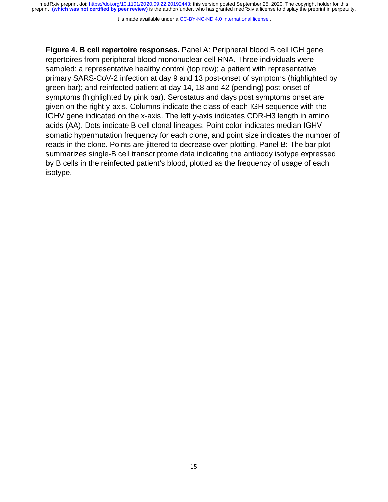It is made available under a [CC-BY-NC-ND 4.0 International license](http://creativecommons.org/licenses/by-nc-nd/4.0/) .

|<br>|<br>|<br>|} **Figure 4. B cell repertoire responses.** Panel A: Peripheral blood B cell IGH gene repertoires from peripheral blood mononuclear cell RNA. Three individuals were sampled: a representative healthy control (top row); a patient with representative primary SARS-CoV-2 infection at day 9 and 13 post-onset of symptoms (highlighted by green bar); and reinfected patient at day 14, 18 and 42 (pending) post-onset of symptoms (highlighted by pink bar). Serostatus and days post symptoms onset are given on the right y-axis. Columns indicate the class of each IGH sequence with the IGHV gene indicated on the x-axis. The left y-axis indicates CDR-H3 length in amino acids (AA). Dots indicate B cell clonal lineages. Point color indicates median IGHV somatic hypermutation frequency for each clone, and point size indicates the number of reads in the clone. Points are jittered to decrease over-plotting. Panel B: The bar plot summarizes single-B cell transcriptome data indicating the antibody isotype expressed by B cells in the reinfected patient's blood, plotted as the frequency of usage of each isotype.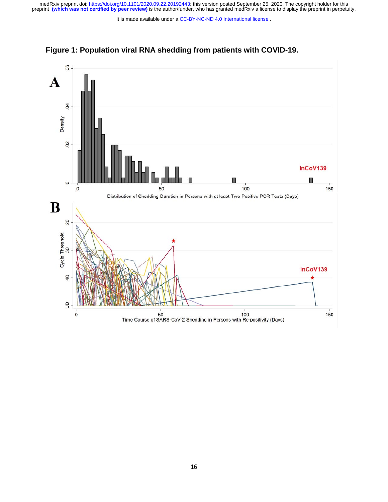It is made available under a [CC-BY-NC-ND 4.0 International license](http://creativecommons.org/licenses/by-nc-nd/4.0/) .



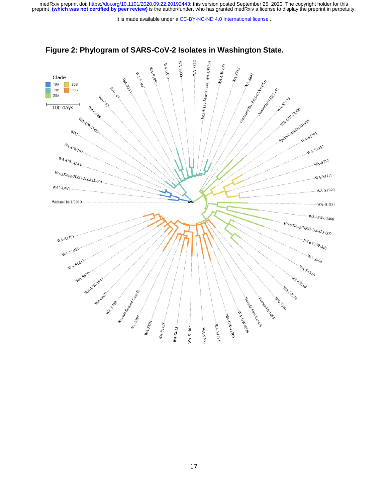It is made available under a [CC-BY-NC-ND 4.0 International license](http://creativecommons.org/licenses/by-nc-nd/4.0/) .



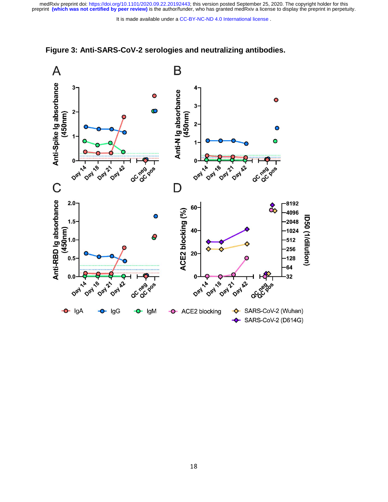

## **Figure 3: Anti-SARS-CoV-2 serologies and neutralizing antibodies.**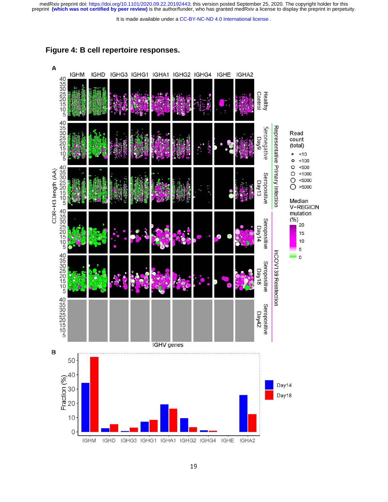It is made available under a [CC-BY-NC-ND 4.0 International license](http://creativecommons.org/licenses/by-nc-nd/4.0/) .



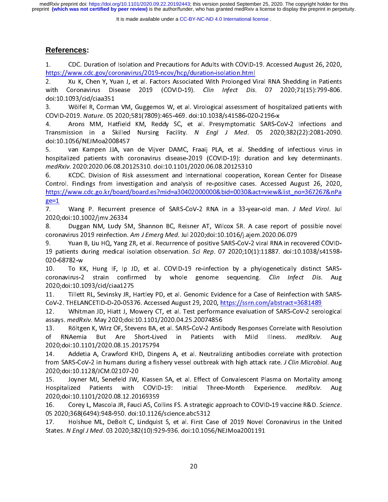It is made available under a [CC-BY-NC-ND 4.0 International license](http://creativecommons.org/licenses/by-nc-nd/4.0/) .

# **References:**

 $\frac{1}{2}$  $1$ .

1. CDC. Duration of Isolation and Precautions for Adults with COVID-19. Accessed August 26, 2020,<br>
<u>https://www.cdc.gov/coronavirus/2019-ncov/hcp/duration-isolation.html</u><br>
2. Xu K, Chen Y, Yuan J, et al. Factors Associated Attain 1992 March Milletter March 2019<br>
2. Xu K, Chen Y, Yuan J, et al. Factors Associated With Prolonged V<br>
with Coronavirus Disease 2019 (COVID-19). *Clin Infect Dis.*<br>
doi:10.1093/cid/ciaa351<br>
3. Wölfel R, Corman VM, Gu

with Coronavirus Disease 2019 (COVID-19). *Clin Infect Dis.* 07 2020;71(15):799-806.<br>doi:10.1093/cid/ciaa351<br>3. Wölfel R, Corman VM, Guggemos W, et al. Virological assessment of hospitalized patients with<br>COVID-2019. Natur with Coronavirus Disease 2019 (COVID-19). Clin Infect Dis. 07 2020;71(19):799-806.<br>doi:10.1093/cid/ciaa351<br>3. Wölfel R, Corman VM, Guggemos W, et al. Virological assessment of hospitalized patients with<br>COVID-2019. Nature. 3. Wölfel R, Corma<br>COVID-2019. *Nature*. 05 :<br>4. Arons MM, Ha<br>Transmission in a SI<br>doi:10.1056/NEJMoa200<br>5. van Kampen JJA<br>hospitalized patients w 3. Wolf-2019. Nature. 05-2020;581(7809):465-469. doi:10.1038/s41586-020-2196-x<br>3. Arons MM, Hatfield KM, Reddy SC, et al. Presymptomatic SARS-CoV-2 Infections and<br>3. Transmission in a Skilled Nursing Facility. N Engl J Med COVID-2019. Nature. 05 2020, 581 (7809): 403-469. doi:10.1038/s41580-020-2150-x<br>4. Arons MM, Hatfield KM, Reddy SC, et al. Presymptomatic SARS-C<br>Transmission in a Skilled Nursing Facility. *N Engl J Med*. 05 202<br>doi:10.105

Transmission in a Skilled Nursing Facility. N Engl J Med. 05 2020;382(22):2081-2090.<br>doi:10.1056/NEJMoa2008457<br>5. van Kampen JJA, van de Vijver DAMC, Fraaij PLA, et al. Shedding of infectious virus in<br>hospitalized patients

Transmission in a Skilled Nursing Facility. *N* Engl J Med. 05 2020,002(22):2001-2090.<br>doi:10.1056/NEJMoa2008457<br>5. van Kampen JJA, van de Vijver DAMC, Fraaij PLA, et al. Shedding of infectious virus in<br>hospitalized patien doi:10.1056/NEJMoa2008457<br>
S. van Kampen JJA, van de Vijver DAMC, Fraaij PLA, et al. Shedding of infectious virus in<br>
hospitalized patients with coronavirus disease-2019 (COVID-19): duration and key determinants.<br> *medRxiv* 1. van Kampen Ja, van Kampen Ja, van Kampen Ja, van Kampen Ja, van Kampen Ja, van Kampen Ja, van Kampen Ja, van Kampen Ja, van Kampen Ja, van Kampen Ja, van Kampen Ja, van Kampen Ja, van Kampen Ja, van Kampen Ja, van Kampe medRxiv. 2020:2020.06.08.20125310. doi:10.1101/2020.06.08.20125310<br>6. KCDC. Division of Risk assessment and International cooperation, Korean Center for Disease<br>Control. Findings from investigation and analysis of re-posit medriary. 2020.2020.00.00.20125310. doi:10.1101/2020.00.00.20125310<br>6. KCDC. Division of Risk assessment and International cooperatio<br>Control. Findings from investigation and analysis of re-positive cases<br>https://www.cdc.g Control. Findings from investigation and analysis of re-positive cases. Accessed August 26, 2020,<br>
https://www.cdc.go.kr/board/board.es?mid=a30402000000&bid=0030&act=view&list no=367267&nPa<br>
<u>ge=1</u><br>
7. Wang P. Recurrent pr https://www.cdc.go.kr/board/board.es?mid=a30402000000&bid=0030&act=view&list\_no=367267&nPa<br>ge=1<br>7. Mang P. Recurrent presence of SARS-CoV-2 RNA in a 33-year-old man. *J Med Virol.* Jul<br>2020;doi:10.1002/jmv.26334<br>8. Duggan

https://www.com/states.go.kr/board.com/states.go.kr/board.com/states.go.kr/board.go.kr/board.go.kr/board.go.kr/board.go.kr/board.go.kr/board.go.kr/board.go.kr/board.go.kr/board.go.kr/board.go.kr/board.go.kr/board.go.kr/boa <u>n<br>7.</u><br>2020;<br>8.<br>coron<br>9.<br>19 pa 2020;doi:10.1002/jmv.26334<br>
2020;doi:10.1002/jmv.26334<br>
8. Duggan NM, Ludy SM, Shannon BC, Reisner AT, Wilcox SR. A case report of possible novel<br>
coronavirus 2019 reinfection. *Am J Emerg Med.* Jul 2020;doi:10.1016/j.ajem 8. Duggan NM, Ludy SM<br>
coronavirus 2019 reinfection.<br>
9. Yuan B, Liu HQ, Yang<br>
19 patients during medical i:<br>
020-68782-w<br>
10. To KK, Hung IF, Ip<br>
coronavirus-2 strain conf

coronavirus 2019 reinfection. *Am J Emerg Med.* Jul 2020;doi:10.1016/j.ajem.2020.06.079<br>9. Vuan B, Liu HQ, Yang ZR, et al. Recurrence of positive SARS-CoV-2 viral RNA in recovered COVID-<br>19 patients during medical isolatio coronavirus 2019 reinfection: Am J Emerg Med. 3df 2020,doi:10.1010/j.ajem.2020.00.079<br>9. Vuan B, Liu HQ, Yang ZR, et al. Recurrence of positive SARS-CoV-2 viral RNA in rec<br>19 patients during medical isolation observation. 19 patients during medical isolation observation. Service, 07 2020, 10(1):11887. doi:10:1890,941398<br>
10. To KK, Hung IF, Ip JD, et al. COVID-19 re-infection by a phylogenetically distinct SARS-<br>
coronavirus-2 strain confir 10. To KH<br>coronavirus-2<br>2020;doi:10.1<br>11. Tillett<br>CoV-2. THELA<br>12. Whitr<br>assays. *medR*)

CoV-2. THELANCETID-D-20-05376. Accessed August 29, 2020, <u>https://ssrn.com/abstract=3681489</u> coronavirus-2 strain commined by whole genome sequencing. Clin infect Dis. Aug<br>2020;doi:10.1093/cid/ciaa1275<br>11. Tillett RL, Sevinsky JR, Hartley PD, et al. Genomic Evidence for a Case of Reinfection with SARS-CoV-2. THELA

13. Röltgen K, Wirz OF, Stevens BA, et al. SARS-CoV-2 Antibody Responses Correlate with Resolution 2020;doi:10.1093/cid/ciaa1275 Whitman JD, Hiatt J, Mowery CT, et al. Test performance evaluation of SARS-CoV-2 sero<br>assays. medRxiv. May 2020;doi:10.1101/2020.04.25.20074856<br>13. Röltgen K, Wirz OF, Stevens BA, et al. SARS-CoV-2 Antibody Responses Corre

14. Addetia A, Crawford KHD, Dingens A, et al. Neutralizing antibodies correlate with protection 12. White the United States of the United States assays. *medRxiv*. May 2020;doi:10.1101/2020.04.25.20074856<br>13. Röltgen K, Wirz OF, Stevens BA, et al. SARS-CoV-2 Antibody Responses Correlate with Resolution<br>16. RNAemia Bu assays. *medixiv*. May 2020, doi:10.1101/2020.04.25.20074856<br>13. Röltgen K, Wirz OF, Stevens BA, et al. SARS-CoV-2 Antik<br>of RNAemia But Are Short-Lived in Patients<br>2020;doi:10.1101/2020.08.15.20175794<br>14. Addetia A, Crawfo of RNAemia But Are Short-Lived in Patients with Mild Illness. *medRxiv*. Aug<br>2020;doi:10.1101/2020.08.15.20175794<br>14. Addetia A, Crawford KHD, Dingens A, et al. Neutralizing antibodies correlate with protection<br>from SARS-C of Riverina But Are Short-Lived in Patients with Mild Illness. *Ineuraly*. Aug<br>2020;doi:10.1101/2020.08.15.20175794<br>14. Addetia A, Crawford KHD, Dingens A, et al. Neutralizing antibodies correlate with protection<br>from SARS 14. Addetia A, Crawford KHD, Ding<br>from SARS-CoV-2 in humans during a fish<br>2020;doi:10.1128/JCM.02107-20<br>15. Joyner MJ, Senefeld JW, Klasser<br>Hospitalized Patients with COVID<br>2020;doi:10.1101/2020.08.12.20169359<br>16. Corey L,

14. The SARS-CoV-2 in humans during a fishery vessel outbreak with high attack rate. J Clin Microbiol. Augument 2020;doi:10.1128/JCM.02107-20<br>15. Joyner MJ, Senefeld JW, Klassen SA, et al. Effect of Convalescent Plasma on From SARS-Cov-2 in humans during a fishery vessel outbreak with high attack rate. J Clin Microbiol. Aug.<br>2020;doi:10.1128/JCM.02107-20<br>15. Joyner MJ, Senefeld JW, Klassen SA, et al. Effect of Convalescent Plasma on Mortali 2020;doi:10.1128/JCM.02107-20<br>
15. Joyner MJ, Senefeld JW, Klassen SA, et al. Effect of Convalescent Plasma on Mortality among<br>
Hospitalized Patients with COVID-19: Initial Three-Month Experience. *medRxiv*. Aug<br>
2020;doi: 15. Hospitalized Patients with COVID-19: Initial Three-Month Experience. *medRxiv*. Aug.<br>2020;doi:10.1101/2020.08.12.20169359<br>16. Corey L, Mascola JR, Fauci AS, Collins FS. A strategic approach to COVID-19 vaccine R&D. Sci

Hospitalized Pratients with COVID-19: Initial Three-Month Experience. *Incuraly:* Aug<br>2020;doi:10.1101/2020.08.12.20169359<br>16. Corey L, Mascola JR, Fauci AS, Collins FS. A strategic approach to COVID-19 vaccine R&D. Scienc 05 2020;368(6494):948-950. doi:10.1126/science.abc5312

16. Corey L, Mascola JR, Fauci AS, Collins FS. A strategic approach to COVID-15 vaccine R&D. Science.<br>05 2020;368(6494):948-950. doi:10.1126/science.abc5312<br>17. Holshue ML, DeBolt C, Lindquist S, et al. First Case of 2019 17. Holshue ML, DeBolt C, Lindquist S, et al. First Ca<br>States. N Engl J Med. 03 2020;382(10):929-936. doi:10.1056<br>20 17. Holshue M. Holshue M. Holshue M. Holshue M. Holshue C. Charles C. N. Engl. J. Med. 03 2020;382(10):929-936. doi:10.1056/NEJMoa2001191<br>20 States. N Engl J Med. 03 2020;382(10):929-936. doi:10.1056/NEJMoa2001191